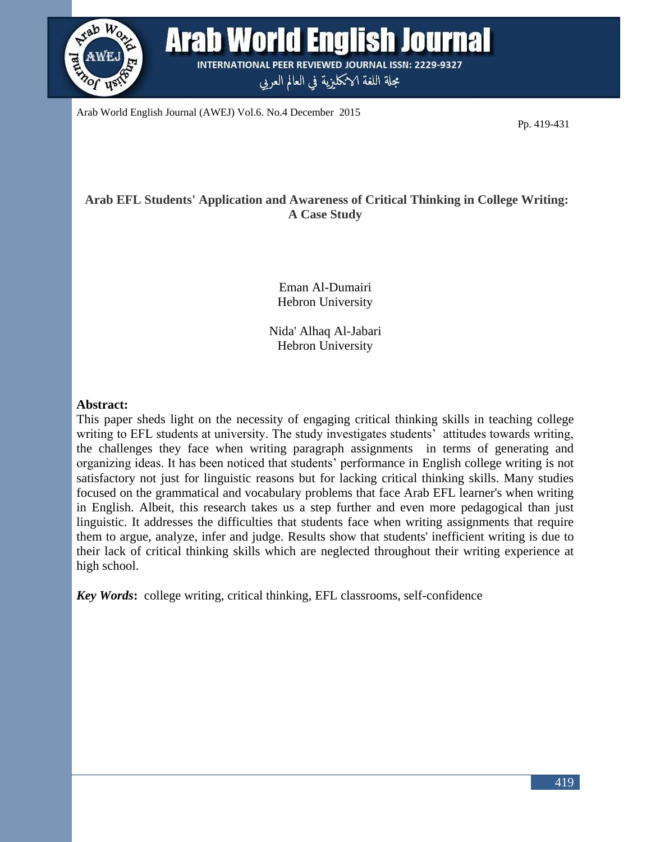

Arab World English Journal (AWEJ) Vol.6. No.4 December 2015

Pp. 419-431

# **Arab EFL Students' Application and Awareness of Critical Thinking in College Writing: A Case Study**

Eman Al-Dumairi Hebron University

Nida' Alhaq Al-Jabari Hebron University

#### **Abstract:**

This paper sheds light on the necessity of engaging critical thinking skills in teaching college writing to EFL students at university. The study investigates students' attitudes towards writing, the challenges they face when writing paragraph assignments in terms of generating and organizing ideas. It has been noticed that students' performance in English college writing is not satisfactory not just for linguistic reasons but for lacking critical thinking skills. Many studies focused on the grammatical and vocabulary problems that face Arab EFL learner's when writing in English. Albeit, this research takes us a step further and even more pedagogical than just linguistic. It addresses the difficulties that students face when writing assignments that require them to argue, analyze, infer and judge. Results show that students' inefficient writing is due to their lack of critical thinking skills which are neglected throughout their writing experience at high school.

*Key Words***:** college writing, critical thinking, EFL classrooms, self-confidence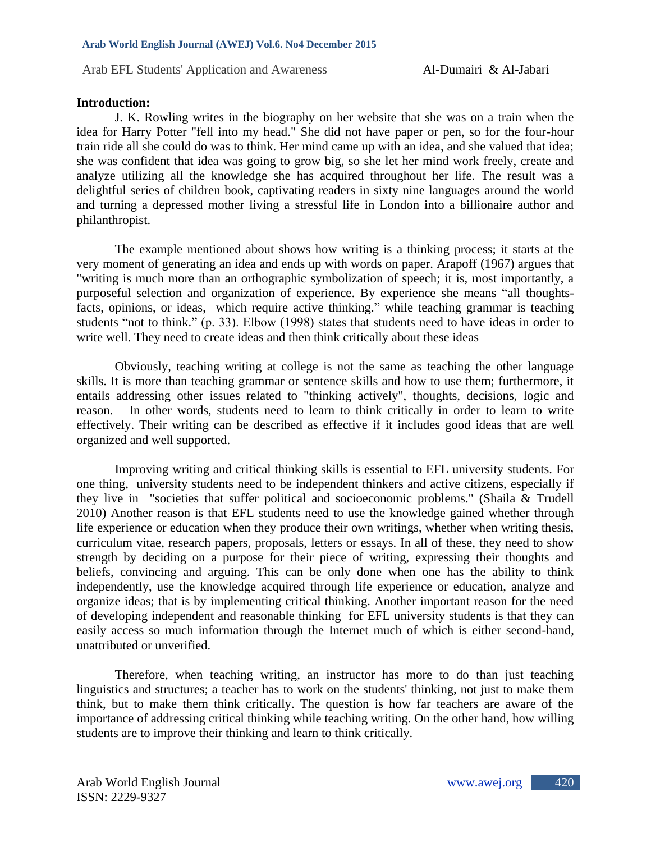#### **Introduction:**

J. K. Rowling writes in the biography on her website that she was on a train when the idea for Harry Potter "fell into my head." She did not have paper or pen, so for the four-hour train ride all she could do was to think. Her mind came up with an idea, and she valued that idea; she was confident that idea was going to grow big, so she let her mind work freely, create and analyze utilizing all the knowledge she has acquired throughout her life. The result was a delightful series of children book, captivating readers in sixty nine languages around the world and turning a depressed mother living a stressful life in London into a billionaire author and philanthropist.

The example mentioned about shows how writing is a thinking process; it starts at the very moment of generating an idea and ends up with words on paper. Arapoff (1967) argues that "writing is much more than an orthographic symbolization of speech; it is, most importantly, a purposeful selection and organization of experience. By experience she means "all thoughtsfacts, opinions, or ideas, which require active thinking." while teaching grammar is teaching students "not to think." (p. 33). Elbow (1998) states that students need to have ideas in order to write well. They need to create ideas and then think critically about these ideas

Obviously, teaching writing at college is not the same as teaching the other language skills. It is more than teaching grammar or sentence skills and how to use them; furthermore, it entails addressing other issues related to "thinking actively", thoughts, decisions, logic and reason. In other words, students need to learn to think critically in order to learn to write effectively. Their writing can be described as effective if it includes good ideas that are well organized and well supported.

Improving writing and critical thinking skills is essential to EFL university students. For one thing, university students need to be independent thinkers and active citizens, especially if they live in "societies that suffer political and socioeconomic problems." (Shaila & Trudell 2010) Another reason is that EFL students need to use the knowledge gained whether through life experience or education when they produce their own writings, whether when writing thesis, curriculum vitae, research papers, proposals, letters or essays. In all of these, they need to show strength by deciding on a purpose for their piece of writing, expressing their thoughts and beliefs, convincing and arguing. This can be only done when one has the ability to think independently, use the knowledge acquired through life experience or education, analyze and organize ideas; that is by implementing critical thinking. Another important reason for the need of developing independent and reasonable thinking for EFL university students is that they can easily access so much information through the Internet much of which is either second-hand, unattributed or unverified.

Therefore, when teaching writing, an instructor has more to do than just teaching linguistics and structures; a teacher has to work on the students' thinking, not just to make them think, but to make them think critically. The question is how far teachers are aware of the importance of addressing critical thinking while teaching writing. On the other hand, how willing students are to improve their thinking and learn to think critically.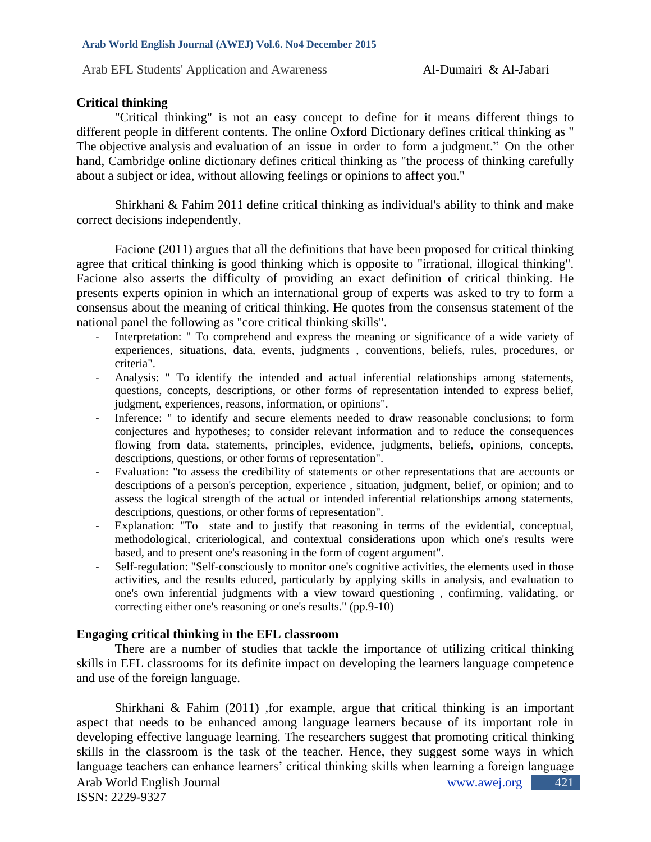# **Critical thinking**

"Critical thinking" is not an easy concept to define for it means different things to different people in different contents. The online Oxford Dictionary defines critical thinking as " The [objective](http://www.oxforddictionaries.com/definition/english/objective#objective__4) [analysis](http://www.oxforddictionaries.com/definition/english/analysis#analysis__6) and [evaluation](http://www.oxforddictionaries.com/definition/english/evaluation#evaluation__2) of an issue in order to form a judgment." On the other hand, Cambridge online dictionary defines critical thinking as "the process of thinking carefully about a subject or idea, without allowing feelings or opinions to affect you."

Shirkhani & Fahim 2011 define critical thinking as individual's ability to think and make correct decisions independently.

Facione (2011) argues that all the definitions that have been proposed for critical thinking agree that critical thinking is good thinking which is opposite to "irrational, illogical thinking". Facione also asserts the difficulty of providing an exact definition of critical thinking. He presents experts opinion in which an international group of experts was asked to try to form a consensus about the meaning of critical thinking. He quotes from the consensus statement of the national panel the following as "core critical thinking skills".

- Interpretation: " To comprehend and express the meaning or significance of a wide variety of experiences, situations, data, events, judgments , conventions, beliefs, rules, procedures, or criteria".
- Analysis: " To identify the intended and actual inferential relationships among statements, questions, concepts, descriptions, or other forms of representation intended to express belief, judgment, experiences, reasons, information, or opinions".
- Inference: " to identify and secure elements needed to draw reasonable conclusions; to form conjectures and hypotheses; to consider relevant information and to reduce the consequences flowing from data, statements, principles, evidence, judgments, beliefs, opinions, concepts, descriptions, questions, or other forms of representation".
- Evaluation: "to assess the credibility of statements or other representations that are accounts or descriptions of a person's perception, experience , situation, judgment, belief, or opinion; and to assess the logical strength of the actual or intended inferential relationships among statements, descriptions, questions, or other forms of representation".
- Explanation: "To state and to justify that reasoning in terms of the evidential, conceptual, methodological, criteriological, and contextual considerations upon which one's results were based, and to present one's reasoning in the form of cogent argument".
- Self-regulation: "Self-consciously to monitor one's cognitive activities, the elements used in those activities, and the results educed, particularly by applying skills in analysis, and evaluation to one's own inferential judgments with a view toward questioning , confirming, validating, or correcting either one's reasoning or one's results." (pp.9-10)

## **Engaging critical thinking in the EFL classroom**

There are a number of studies that tackle the importance of utilizing critical thinking skills in EFL classrooms for its definite impact on developing the learners language competence and use of the foreign language.

Shirkhani & Fahim (2011) ,for example, argue that critical thinking is an important aspect that needs to be enhanced among language learners because of its important role in developing effective language learning. The researchers suggest that promoting critical thinking skills in the classroom is the task of the teacher. Hence, they suggest some ways in which language teachers can enhance learners' critical thinking skills when learning a foreign language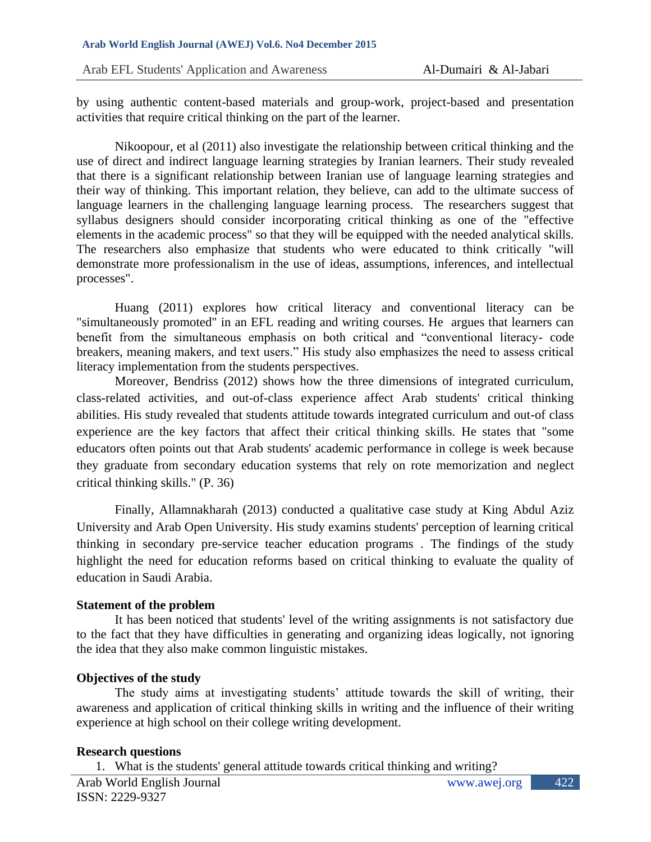by using authentic content-based materials and group-work, project-based and presentation activities that require critical thinking on the part of the learner.

Nikoopour, et al (2011) also investigate the relationship between critical thinking and the use of direct and indirect language learning strategies by Iranian learners. Their study revealed that there is a significant relationship between Iranian use of language learning strategies and their way of thinking. This important relation, they believe, can add to the ultimate success of language learners in the challenging language learning process. The researchers suggest that syllabus designers should consider incorporating critical thinking as one of the "effective elements in the academic process" so that they will be equipped with the needed analytical skills. The researchers also emphasize that students who were educated to think critically "will demonstrate more professionalism in the use of ideas, assumptions, inferences, and intellectual processes".

Huang (2011) explores how critical literacy and conventional literacy can be "simultaneously promoted" in an EFL reading and writing courses. He argues that learners can benefit from the simultaneous emphasis on both critical and "conventional literacy- code breakers, meaning makers, and text users." His study also emphasizes the need to assess critical literacy implementation from the students perspectives.

Moreover, Bendriss (2012) shows how the three dimensions of integrated curriculum, class-related activities, and out-of-class experience affect Arab students' critical thinking abilities. His study revealed that students attitude towards integrated curriculum and out-of class experience are the key factors that affect their critical thinking skills. He states that "some educators often points out that Arab students' academic performance in college is week because they graduate from secondary education systems that rely on rote memorization and neglect critical thinking skills." (P. 36)

Finally, Allamnakharah (2013) conducted a qualitative case study at King Abdul Aziz University and Arab Open University. His study examins students' perception of learning critical thinking in secondary pre-service teacher education programs . The findings of the study highlight the need for education reforms based on critical thinking to evaluate the quality of education in Saudi Arabia.

## **Statement of the problem**

It has been noticed that students' level of the writing assignments is not satisfactory due to the fact that they have difficulties in generating and organizing ideas logically, not ignoring the idea that they also make common linguistic mistakes.

## **Objectives of the study**

The study aims at investigating students' attitude towards the skill of writing, their awareness and application of critical thinking skills in writing and the influence of their writing experience at high school on their college writing development.

## **Research questions**

1. What is the students' general attitude towards critical thinking and writing?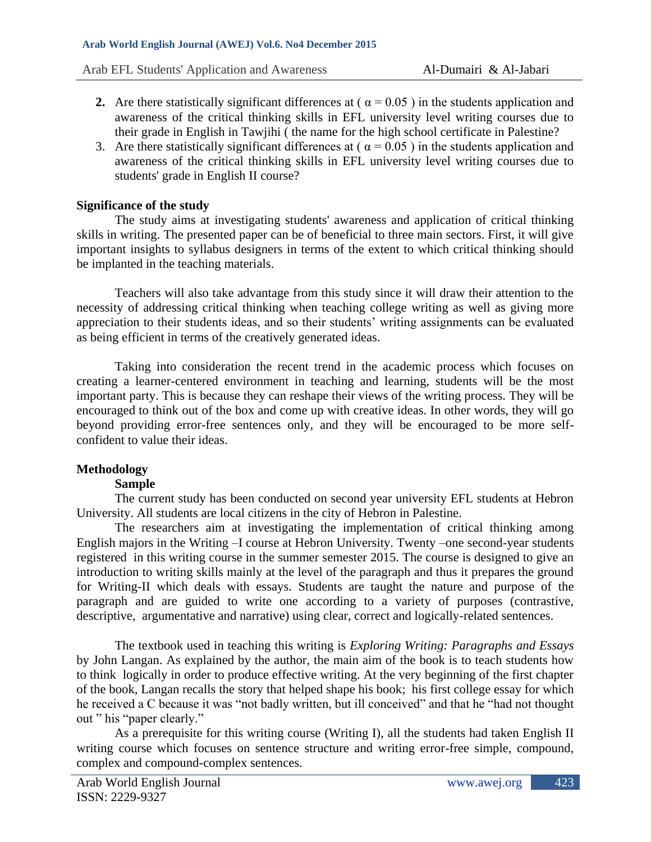- **2.** Are there statistically significant differences at ( $\alpha = 0.05$ ) in the students application and awareness of the critical thinking skills in EFL university level writing courses due to their grade in English in Tawjihi ( the name for the high school certificate in Palestine?
- 3. Are there statistically significant differences at ( $\alpha = 0.05$ ) in the students application and awareness of the critical thinking skills in EFL university level writing courses due to students' grade in English II course?

## **Significance of the study**

The study aims at investigating students' awareness and application of critical thinking skills in writing. The presented paper can be of beneficial to three main sectors. First, it will give important insights to syllabus designers in terms of the extent to which critical thinking should be implanted in the teaching materials.

Teachers will also take advantage from this study since it will draw their attention to the necessity of addressing critical thinking when teaching college writing as well as giving more appreciation to their students ideas, and so their students' writing assignments can be evaluated as being efficient in terms of the creatively generated ideas.

Taking into consideration the recent trend in the academic process which focuses on creating a learner-centered environment in teaching and learning, students will be the most important party. This is because they can reshape their views of the writing process. They will be encouraged to think out of the box and come up with creative ideas. In other words, they will go beyond providing error-free sentences only, and they will be encouraged to be more selfconfident to value their ideas.

## **Methodology**

## **Sample**

The current study has been conducted on second year university EFL students at Hebron University. All students are local citizens in the city of Hebron in Palestine.

The researchers aim at investigating the implementation of critical thinking among English majors in the Writing –I course at Hebron University. Twenty –one second-year students registered in this writing course in the summer semester 2015. The course is designed to give an introduction to writing skills mainly at the level of the paragraph and thus it prepares the ground for Writing-II which deals with essays. Students are taught the nature and purpose of the paragraph and are guided to write one according to a variety of purposes (contrastive, descriptive, argumentative and narrative) using clear, correct and logically-related sentences.

The textbook used in teaching this writing is *Exploring Writing: Paragraphs and Essays* by John Langan. As explained by the author, the main aim of the book is to teach students how to think logically in order to produce effective writing. At the very beginning of the first chapter of the book, Langan recalls the story that helped shape his book; his first college essay for which he received a C because it was "not badly written, but ill conceived" and that he "had not thought out " his "paper clearly."

As a prerequisite for this writing course (Writing I), all the students had taken English II writing course which focuses on sentence structure and writing error-free simple, compound, complex and compound-complex sentences.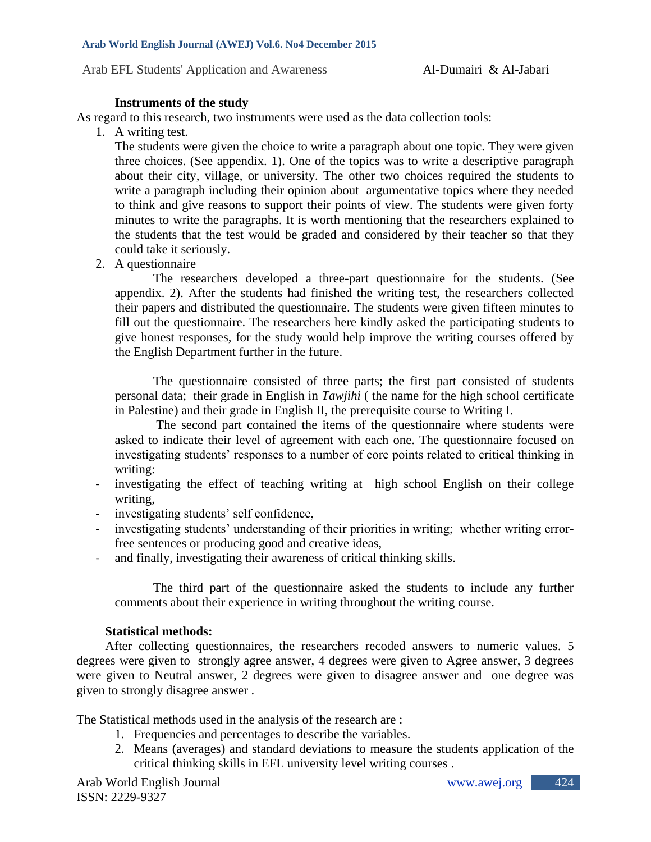#### **Instruments of the study**

As regard to this research, two instruments were used as the data collection tools:

1. A writing test.

The students were given the choice to write a paragraph about one topic. They were given three choices. (See appendix. 1). One of the topics was to write a descriptive paragraph about their city, village, or university. The other two choices required the students to write a paragraph including their opinion about argumentative topics where they needed to think and give reasons to support their points of view. The students were given forty minutes to write the paragraphs. It is worth mentioning that the researchers explained to the students that the test would be graded and considered by their teacher so that they could take it seriously.

2. A questionnaire

The researchers developed a three-part questionnaire for the students. (See appendix. 2). After the students had finished the writing test, the researchers collected their papers and distributed the questionnaire. The students were given fifteen minutes to fill out the questionnaire. The researchers here kindly asked the participating students to give honest responses, for the study would help improve the writing courses offered by the English Department further in the future.

The questionnaire consisted of three parts; the first part consisted of students personal data; their grade in English in *Tawjihi* ( the name for the high school certificate in Palestine) and their grade in English II, the prerequisite course to Writing I.

The second part contained the items of the questionnaire where students were asked to indicate their level of agreement with each one. The questionnaire focused on investigating students' responses to a number of core points related to critical thinking in writing:

- investigating the effect of teaching writing at high school English on their college writing,
- investigating students' self confidence,
- investigating students' understanding of their priorities in writing; whether writing errorfree sentences or producing good and creative ideas,
- and finally, investigating their awareness of critical thinking skills.

The third part of the questionnaire asked the students to include any further comments about their experience in writing throughout the writing course.

## **Statistical methods:**

After collecting questionnaires, the researchers recoded answers to numeric values. 5 degrees were given to strongly agree answer, 4 degrees were given to Agree answer, 3 degrees were given to Neutral answer, 2 degrees were given to disagree answer and one degree was given to strongly disagree answer .

The Statistical methods used in the analysis of the research are :

- 1. Frequencies and percentages to describe the variables.
- 2. Means (averages) and standard deviations to measure the students application of the critical thinking skills in EFL university level writing courses .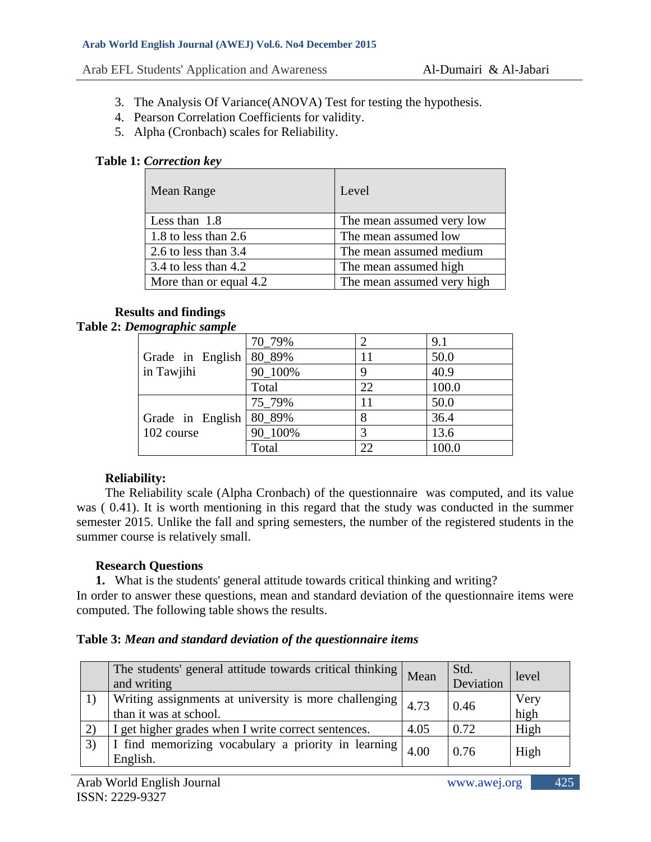- 3. The Analysis Of Variance(ANOVA) Test for testing the hypothesis.
- 4. Pearson Correlation Coefficients for validity.
- 5. Alpha (Cronbach) scales for Reliability.

## **Table 1:** *Correction key*

| Mean Range             | Level                      |
|------------------------|----------------------------|
| Less than 1.8          | The mean assumed very low  |
| 1.8 to less than 2.6   | The mean assumed low       |
| 2.6 to less than $3.4$ | The mean assumed medium    |
| 3.4 to less than $4.2$ | The mean assumed high      |
| More than or equal 4.2 | The mean assumed very high |

# **Results and findings**

## **Table 2:** *Demographic sample*

|                  | 70 79%  |    | 9.1   |
|------------------|---------|----|-------|
| Grade in English | 80 89%  |    | 50.0  |
| in Tawjihi       | 90 100% |    | 40.9  |
|                  | Total   | 22 | 100.0 |
|                  | 75 79%  | 11 | 50.0  |
| Grade in English | 80_89%  |    | 36.4  |
| 102 course       | 90 100% |    | 13.6  |
|                  | Total   | 22 | 100.0 |

## **Reliability:**

The Reliability scale (Alpha Cronbach) of the questionnaire was computed, and its value was ( 0.41). It is worth mentioning in this regard that the study was conducted in the summer semester 2015. Unlike the fall and spring semesters, the number of the registered students in the summer course is relatively small.

## **Research Questions**

**1.** What is the students' general attitude towards critical thinking and writing?

In order to answer these questions, mean and standard deviation of the questionnaire items were computed. The following table shows the results.

## **Table 3:** *Mean and standard deviation of the questionnaire items*

| The students' general attitude towards critical thinking  <br>and writing                          | Mean | Std.<br>Deviation | level        |
|----------------------------------------------------------------------------------------------------|------|-------------------|--------------|
| Writing assignments at university is more challenging $\vert 4.73 \vert$<br>than it was at school. |      | 0.46              | Very<br>high |
| I get higher grades when I write correct sentences.                                                | 4.05 | 0.72              | High         |
| I find memorizing vocabulary a priority in learning<br>English.                                    | 4.00 | 0.76              | High         |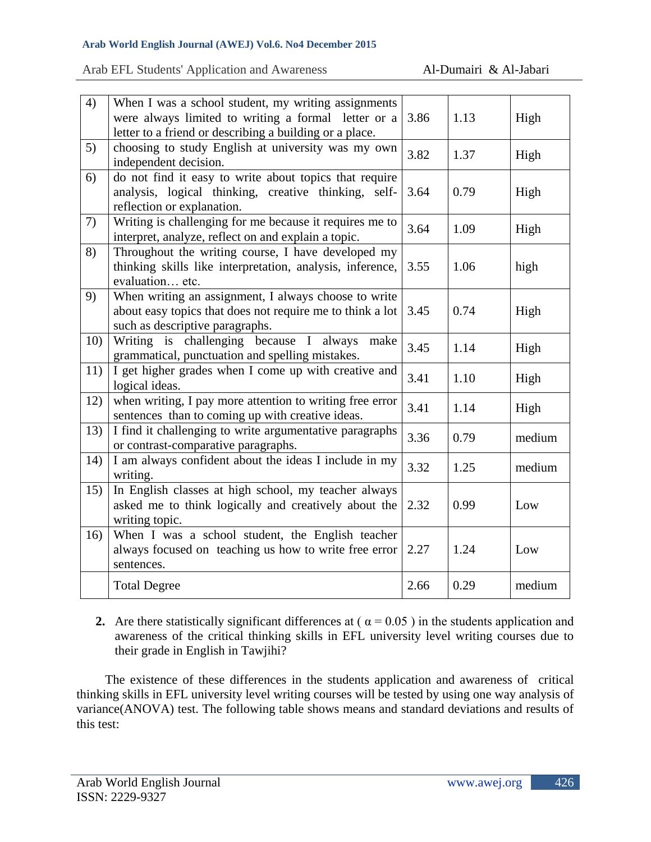#### **Arab World English Journal (AWEJ) Vol.6. No4 December 2015**

#### Arab EFL Students' Application and Awareness Al-Dumairi & Al-Jabari

| 4)  | When I was a school student, my writing assignments<br>were always limited to writing a formal letter or a<br>letter to a friend or describing a building or a place. | 3.86 | 1.13 | High   |
|-----|-----------------------------------------------------------------------------------------------------------------------------------------------------------------------|------|------|--------|
| 5)  | choosing to study English at university was my own<br>independent decision.                                                                                           | 3.82 | 1.37 | High   |
| 6)  | do not find it easy to write about topics that require<br>analysis, logical thinking, creative thinking, self-<br>reflection or explanation.                          | 3.64 | 0.79 | High   |
| 7)  | Writing is challenging for me because it requires me to<br>interpret, analyze, reflect on and explain a topic.                                                        | 3.64 | 1.09 | High   |
| 8)  | Throughout the writing course, I have developed my<br>thinking skills like interpretation, analysis, inference,<br>evaluation etc.                                    | 3.55 | 1.06 | high   |
| 9)  | When writing an assignment, I always choose to write<br>about easy topics that does not require me to think a lot<br>such as descriptive paragraphs.                  | 3.45 | 0.74 | High   |
| 10) | Writing is challenging because I always<br>make<br>grammatical, punctuation and spelling mistakes.                                                                    | 3.45 | 1.14 | High   |
| 11) | I get higher grades when I come up with creative and<br>logical ideas.                                                                                                | 3.41 | 1.10 | High   |
| 12) | when writing, I pay more attention to writing free error<br>sentences than to coming up with creative ideas.                                                          | 3.41 | 1.14 | High   |
| 13) | I find it challenging to write argumentative paragraphs<br>or contrast-comparative paragraphs.                                                                        | 3.36 | 0.79 | medium |
| 14) | I am always confident about the ideas I include in my<br>writing.                                                                                                     | 3.32 | 1.25 | medium |
| 15) | In English classes at high school, my teacher always<br>asked me to think logically and creatively about the<br>writing topic.                                        | 2.32 | 0.99 | Low    |
| 16) | When I was a school student, the English teacher<br>always focused on teaching us how to write free error<br>sentences.                                               | 2.27 | 1.24 | Low    |
|     | <b>Total Degree</b>                                                                                                                                                   | 2.66 | 0.29 | medium |

**2.** Are there statistically significant differences at ( $\alpha = 0.05$ ) in the students application and awareness of the critical thinking skills in EFL university level writing courses due to their grade in English in Tawjihi?

The existence of these differences in the students application and awareness of critical thinking skills in EFL university level writing courses will be tested by using one way analysis of variance(ANOVA) test. The following table shows means and standard deviations and results of this test: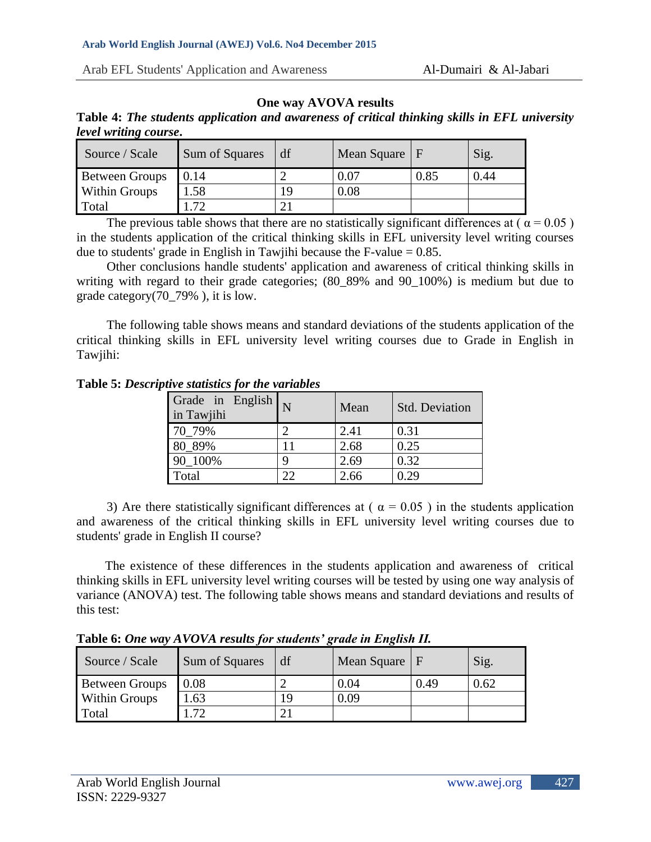## **One way AVOVA results**

| Table 4: The students application and awareness of critical thinking skills in EFL university |  |  |  |
|-----------------------------------------------------------------------------------------------|--|--|--|
| level writing course.                                                                         |  |  |  |

| Source / Scale        | Sum of Squares | df  | Mean Square $ F $ |      | Sig. |
|-----------------------|----------------|-----|-------------------|------|------|
| <b>Between Groups</b> | $\mid$ 0.14    |     | 0.07              | 0.85 | 0.44 |
| <b>Within Groups</b>  | 1.58           | 1 Q | 0.08              |      |      |
| Total                 | .72            |     |                   |      |      |

The previous table shows that there are no statistically significant differences at ( $\alpha = 0.05$ ) in the students application of the critical thinking skills in EFL university level writing courses due to students' grade in English in Tawjihi because the F-value  $= 0.85$ .

Other conclusions handle students' application and awareness of critical thinking skills in writing with regard to their grade categories; (80–89% and 90–100%) is medium but due to grade category(70\_79% ), it is low.

The following table shows means and standard deviations of the students application of the critical thinking skills in EFL university level writing courses due to Grade in English in Tawjihi:

**Table 5:** *Descriptive statistics for the variables*

| Grade in English<br>in Tawjihi |              | Mean | <b>Std. Deviation</b> |
|--------------------------------|--------------|------|-----------------------|
| 70 79%                         |              | 2.41 | 0.31                  |
| 80 89%                         |              | 2.68 | 0.25                  |
| 90 100%                        |              | 2.69 | 0.32                  |
| Total                          | $22^{\circ}$ | 2.66 | 0.29                  |

3) Are there statistically significant differences at ( $\alpha = 0.05$ ) in the students application and awareness of the critical thinking skills in EFL university level writing courses due to students' grade in English II course?

The existence of these differences in the students application and awareness of critical thinking skills in EFL university level writing courses will be tested by using one way analysis of variance (ANOVA) test. The following table shows means and standard deviations and results of this test:

**Table 6:** *One way AVOVA results for students' grade in English II.* 

| Source / Scale        | Sum of Squares | df  | Mean Square $\mid$ F |      | Sig. |
|-----------------------|----------------|-----|----------------------|------|------|
| <b>Between Groups</b> | 0.08           |     | 0.04                 | 0.49 | 0.62 |
| <b>Within Groups</b>  | .63            | 1 C | 0.09                 |      |      |
| Total                 | .72            |     |                      |      |      |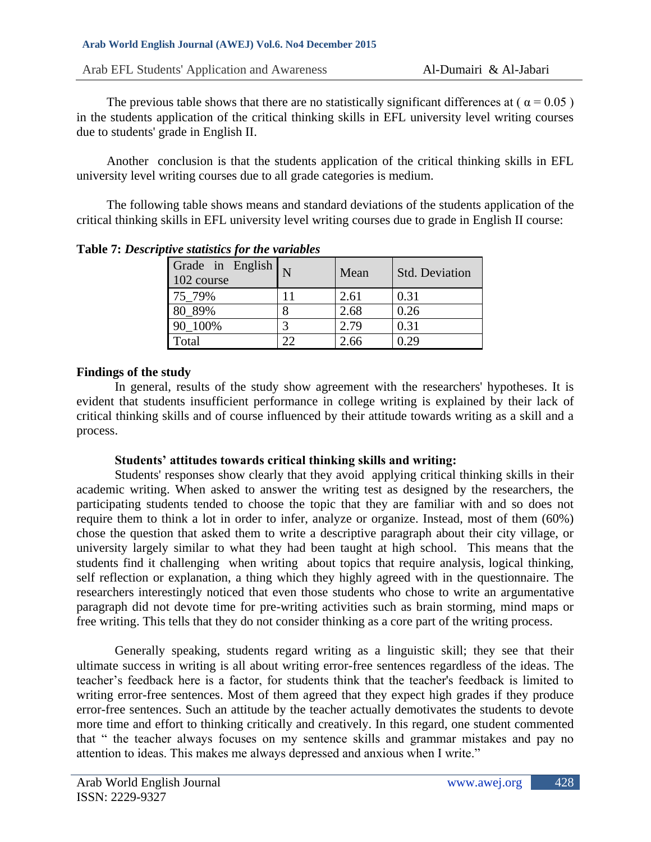The previous table shows that there are no statistically significant differences at ( $\alpha = 0.05$ ) in the students application of the critical thinking skills in EFL university level writing courses due to students' grade in English II.

Another conclusion is that the students application of the critical thinking skills in EFL university level writing courses due to all grade categories is medium.

The following table shows means and standard deviations of the students application of the critical thinking skills in EFL university level writing courses due to grade in English II course:

| $\alpha$ , statistics for the randeles |    |      |                       |  |  |  |
|----------------------------------------|----|------|-----------------------|--|--|--|
| Grade in English<br>102 course         |    | Mean | <b>Std. Deviation</b> |  |  |  |
| 75 79%                                 | 11 | 2.61 | 0.31                  |  |  |  |
| 80_89%                                 |    | 2.68 | 0.26                  |  |  |  |
| 90 100%                                |    | 2.79 | 0.31                  |  |  |  |
| Total                                  | 22 | 2.66 | 0.29                  |  |  |  |

**Table 7:** *Descriptive statistics for the variables*

# **Findings of the study**

In general, results of the study show agreement with the researchers' hypotheses. It is evident that students insufficient performance in college writing is explained by their lack of critical thinking skills and of course influenced by their attitude towards writing as a skill and a process.

## **Students' attitudes towards critical thinking skills and writing:**

Students' responses show clearly that they avoid applying critical thinking skills in their academic writing. When asked to answer the writing test as designed by the researchers, the participating students tended to choose the topic that they are familiar with and so does not require them to think a lot in order to infer, analyze or organize. Instead, most of them (60%) chose the question that asked them to write a descriptive paragraph about their city village, or university largely similar to what they had been taught at high school. This means that the students find it challenging when writing about topics that require analysis, logical thinking, self reflection or explanation, a thing which they highly agreed with in the questionnaire. The researchers interestingly noticed that even those students who chose to write an argumentative paragraph did not devote time for pre-writing activities such as brain storming, mind maps or free writing. This tells that they do not consider thinking as a core part of the writing process.

Generally speaking, students regard writing as a linguistic skill; they see that their ultimate success in writing is all about writing error-free sentences regardless of the ideas. The teacher's feedback here is a factor, for students think that the teacher's feedback is limited to writing error-free sentences. Most of them agreed that they expect high grades if they produce error-free sentences. Such an attitude by the teacher actually demotivates the students to devote more time and effort to thinking critically and creatively. In this regard, one student commented that " the teacher always focuses on my sentence skills and grammar mistakes and pay no attention to ideas. This makes me always depressed and anxious when I write."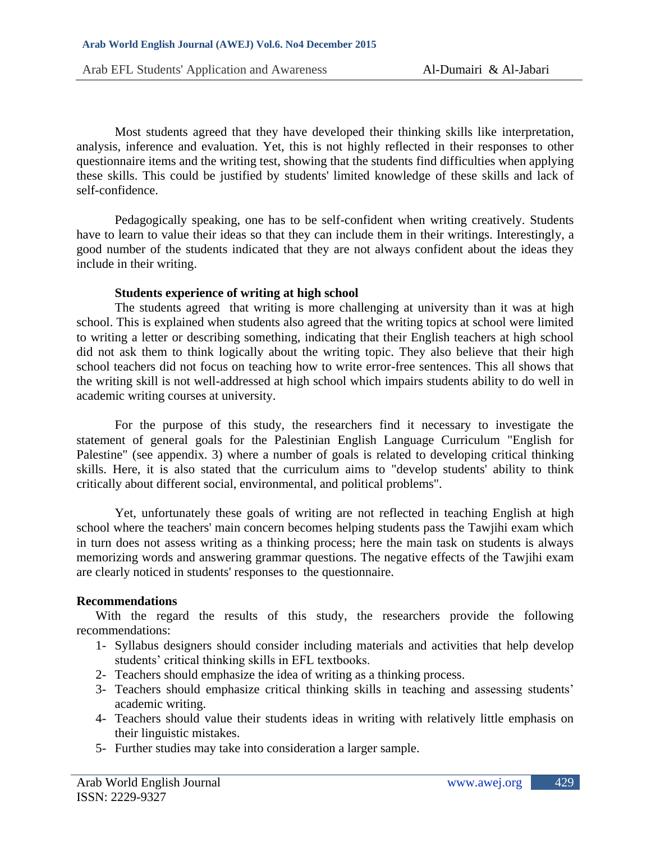Most students agreed that they have developed their thinking skills like interpretation, analysis, inference and evaluation. Yet, this is not highly reflected in their responses to other questionnaire items and the writing test, showing that the students find difficulties when applying these skills. This could be justified by students' limited knowledge of these skills and lack of self-confidence.

Pedagogically speaking, one has to be self-confident when writing creatively. Students have to learn to value their ideas so that they can include them in their writings. Interestingly, a good number of the students indicated that they are not always confident about the ideas they include in their writing.

#### **Students experience of writing at high school**

The students agreed that writing is more challenging at university than it was at high school. This is explained when students also agreed that the writing topics at school were limited to writing a letter or describing something, indicating that their English teachers at high school did not ask them to think logically about the writing topic. They also believe that their high school teachers did not focus on teaching how to write error-free sentences. This all shows that the writing skill is not well-addressed at high school which impairs students ability to do well in academic writing courses at university.

For the purpose of this study, the researchers find it necessary to investigate the statement of general goals for the Palestinian English Language Curriculum "English for Palestine" (see appendix. 3) where a number of goals is related to developing critical thinking skills. Here, it is also stated that the curriculum aims to "develop students' ability to think critically about different social, environmental, and political problems".

Yet, unfortunately these goals of writing are not reflected in teaching English at high school where the teachers' main concern becomes helping students pass the Tawjihi exam which in turn does not assess writing as a thinking process; here the main task on students is always memorizing words and answering grammar questions. The negative effects of the Tawjihi exam are clearly noticed in students' responses to the questionnaire.

## **Recommendations**

With the regard the results of this study, the researchers provide the following recommendations:

- 1- Syllabus designers should consider including materials and activities that help develop students' critical thinking skills in EFL textbooks.
- 2- Teachers should emphasize the idea of writing as a thinking process.
- 3- Teachers should emphasize critical thinking skills in teaching and assessing students' academic writing.
- 4- Teachers should value their students ideas in writing with relatively little emphasis on their linguistic mistakes.
- 5- Further studies may take into consideration a larger sample.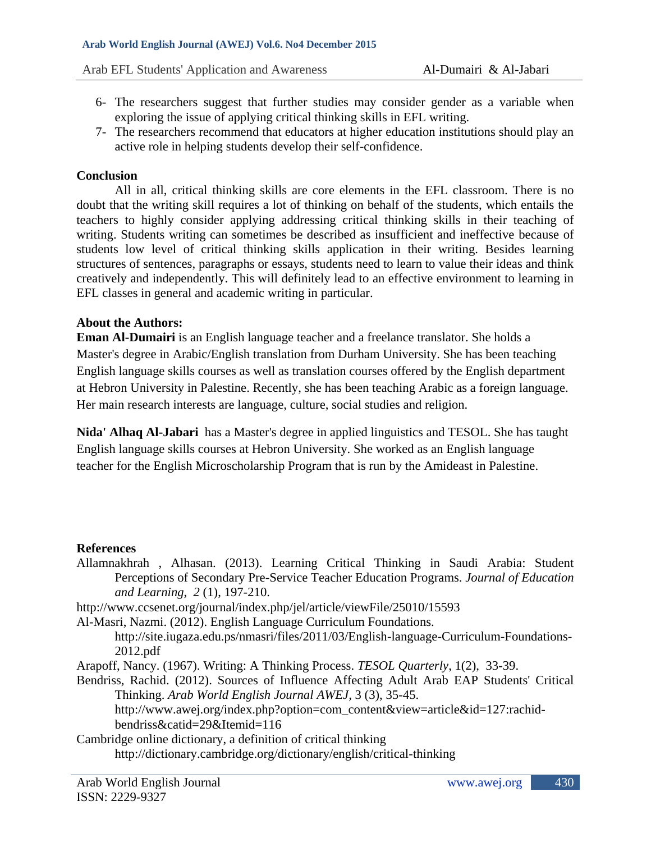- 6- The researchers suggest that further studies may consider gender as a variable when exploring the issue of applying critical thinking skills in EFL writing.
- 7- The researchers recommend that educators at higher education institutions should play an active role in helping students develop their self-confidence.

#### **Conclusion**

All in all, critical thinking skills are core elements in the EFL classroom. There is no doubt that the writing skill requires a lot of thinking on behalf of the students, which entails the teachers to highly consider applying addressing critical thinking skills in their teaching of writing. Students writing can sometimes be described as insufficient and ineffective because of students low level of critical thinking skills application in their writing. Besides learning structures of sentences, paragraphs or essays, students need to learn to value their ideas and think creatively and independently. This will definitely lead to an effective environment to learning in EFL classes in general and academic writing in particular.

#### **About the Authors:**

**Eman Al-Dumairi** is an English language teacher and a freelance translator. She holds a Master's degree in Arabic/English translation from Durham University. She has been teaching English language skills courses as well as translation courses offered by the English department at Hebron University in Palestine. Recently, she has been teaching Arabic as a foreign language. Her main research interests are language, culture, social studies and religion.

**Nida' Alhaq Al-Jabari** has a Master's degree in applied linguistics and TESOL. She has taught English language skills courses at Hebron University. She worked as an English language teacher for the English Microscholarship Program that is run by the Amideast in Palestine.

#### **References**

Allamnakhrah , Alhasan. (2013). Learning Critical Thinking in Saudi Arabia: Student Perceptions of Secondary Pre-Service Teacher Education Programs. *Journal of Education and Learning*, *2* (1), 197-210.

<http://www.ccsenet.org/journal/index.php/jel/article/viewFile/25010/15593>

Al-Masri, Nazmi. (2012). English Language Curriculum Foundations.

[http://site.iugaza.edu.ps/nmasri/files/2011/03/English-language-Curriculum-Foundations-](http://site.iugaza.edu.ps/nmasri/files/2011/03/English-language-Curriculum-Foundations-2012.pdf)[2012.pdf](http://site.iugaza.edu.ps/nmasri/files/2011/03/English-language-Curriculum-Foundations-2012.pdf)

Arapoff, Nancy. (1967). Writing: A Thinking Process. *TESOL Quarterly*, 1(2), 33-39.

Bendriss, Rachid. (2012). Sources of Influence Affecting Adult Arab EAP Students' Critical Thinking. *Arab World English Journal AWEJ,* 3 (3), 35-45.

[http://www.awej.org/index.php?option=com\\_content&view=article&id=127:rachid](http://www.awej.org/index.php?option=com_content&view=article&id=127:rachid-bendriss&catid=29&Itemid=116)[bendriss&catid=29&Itemid=116](http://www.awej.org/index.php?option=com_content&view=article&id=127:rachid-bendriss&catid=29&Itemid=116)

Cambridge online dictionary, a definition of critical thinking

<http://dictionary.cambridge.org/dictionary/english/critical-thinking>